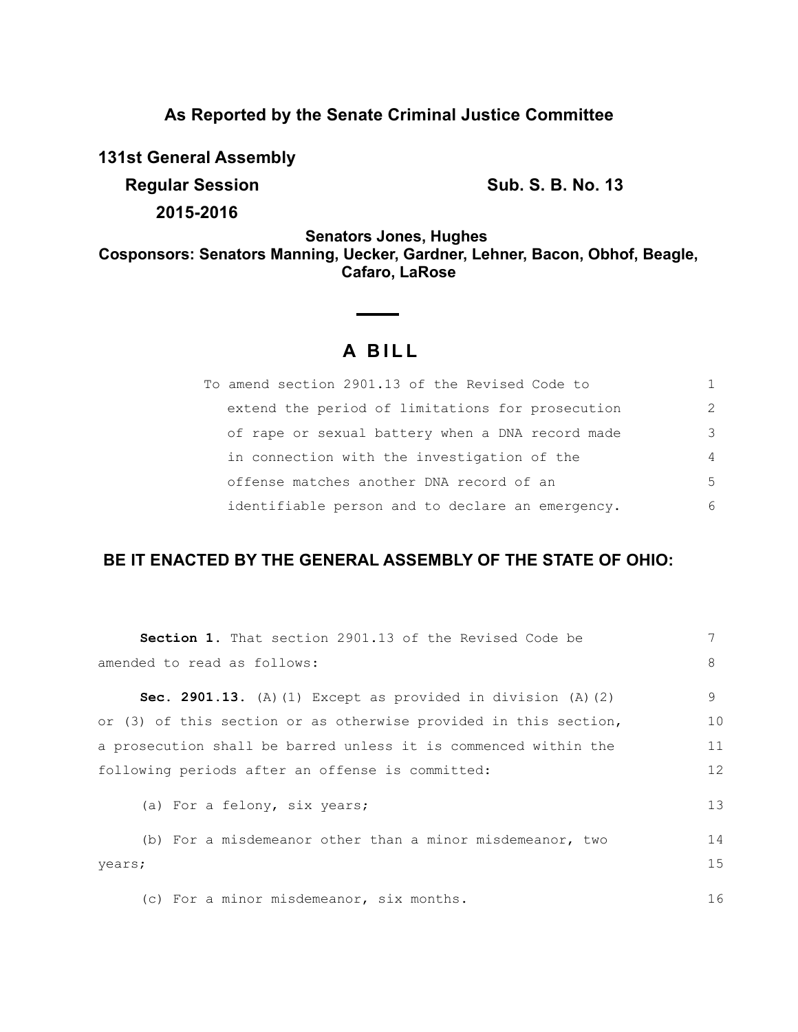## **As Reported by the Senate Criminal Justice Committee**

**131st General Assembly**

**Regular Session Sub. S. B. No. 13** 

**2015-2016**

**Senators Jones, Hughes Cosponsors: Senators Manning, Uecker, Gardner, Lehner, Bacon, Obhof, Beagle, Cafaro, LaRose**

# **A B I L L**

Н

| To amend section 2901.13 of the Revised Code to  |                |
|--------------------------------------------------|----------------|
| extend the period of limitations for prosecution | 2              |
| of rape or sexual battery when a DNA record made | 3              |
| in connection with the investigation of the      | $\overline{4}$ |
| offense matches another DNA record of an         | $\overline{5}$ |
| identifiable person and to declare an emergency. | 6              |

## **BE IT ENACTED BY THE GENERAL ASSEMBLY OF THE STATE OF OHIO:**

| Section 1. That section 2901.13 of the Revised Code be           |    |
|------------------------------------------------------------------|----|
| amended to read as follows:                                      | 8  |
| Sec. 2901.13. (A) (1) Except as provided in division (A) $(2)$   | 9  |
| or (3) of this section or as otherwise provided in this section, | 10 |
| a prosecution shall be barred unless it is commenced within the  | 11 |
| following periods after an offense is committed:                 | 12 |
| (a) For a felony, six years;                                     | 13 |
| (b) For a misdemeanor other than a minor misdemeanor, two        | 14 |
| years;                                                           | 15 |
| (c) For a minor misdemeanor, six months.                         | 16 |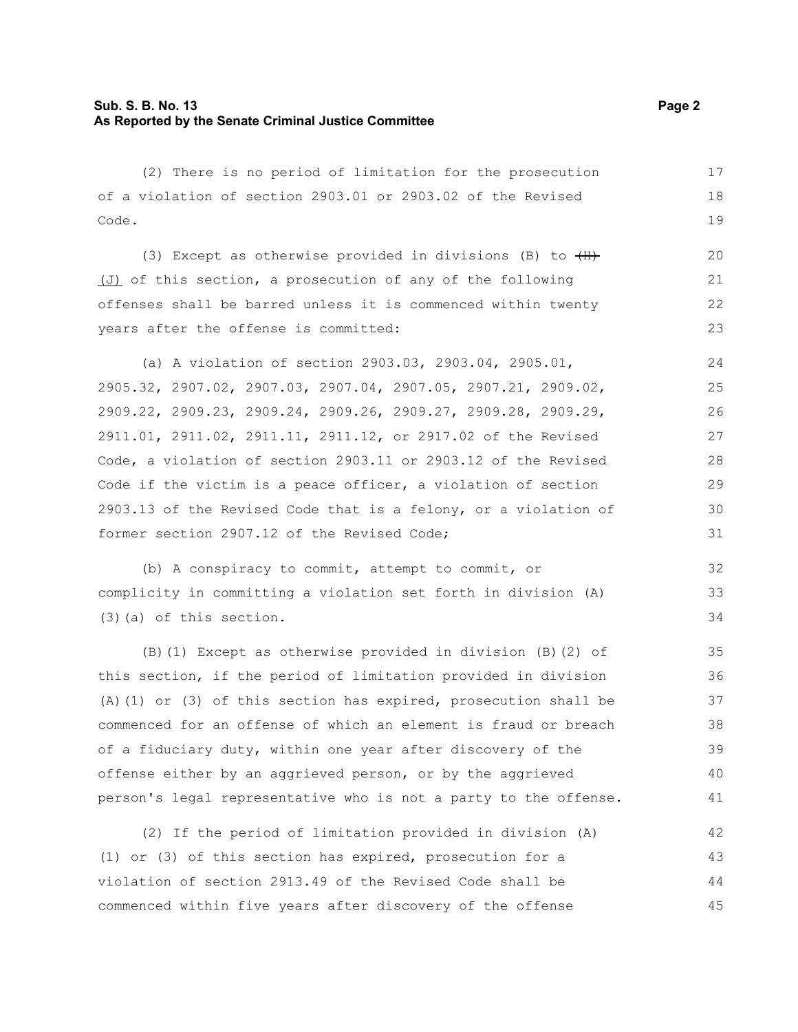former section 2907.12 of the Revised Code;

(2) There is no period of limitation for the prosecution of a violation of section 2903.01 or 2903.02 of the Revised Code. (3) Except as otherwise provided in divisions (B) to  $(H)$ (J) of this section, a prosecution of any of the following offenses shall be barred unless it is commenced within twenty years after the offense is committed: (a) A violation of section 2903.03, 2903.04, 2905.01, 2905.32, 2907.02, 2907.03, 2907.04, 2907.05, 2907.21, 2909.02, 2909.22, 2909.23, 2909.24, 2909.26, 2909.27, 2909.28, 2909.29, 2911.01, 2911.02, 2911.11, 2911.12, or 2917.02 of the Revised Code, a violation of section 2903.11 or 2903.12 of the Revised Code if the victim is a peace officer, a violation of section 2903.13 of the Revised Code that is a felony, or a violation of 17 18 19 20 21 22 23 24 25 26 27 28 29 30

(b) A conspiracy to commit, attempt to commit, or complicity in committing a violation set forth in division (A) (3)(a) of this section. 32 33 34

(B)(1) Except as otherwise provided in division (B)(2) of this section, if the period of limitation provided in division (A)(1) or (3) of this section has expired, prosecution shall be commenced for an offense of which an element is fraud or breach of a fiduciary duty, within one year after discovery of the offense either by an aggrieved person, or by the aggrieved person's legal representative who is not a party to the offense. 35 36 37 38 39 40 41

(2) If the period of limitation provided in division (A) (1) or (3) of this section has expired, prosecution for a violation of section 2913.49 of the Revised Code shall be commenced within five years after discovery of the offense 42 43 44 45

31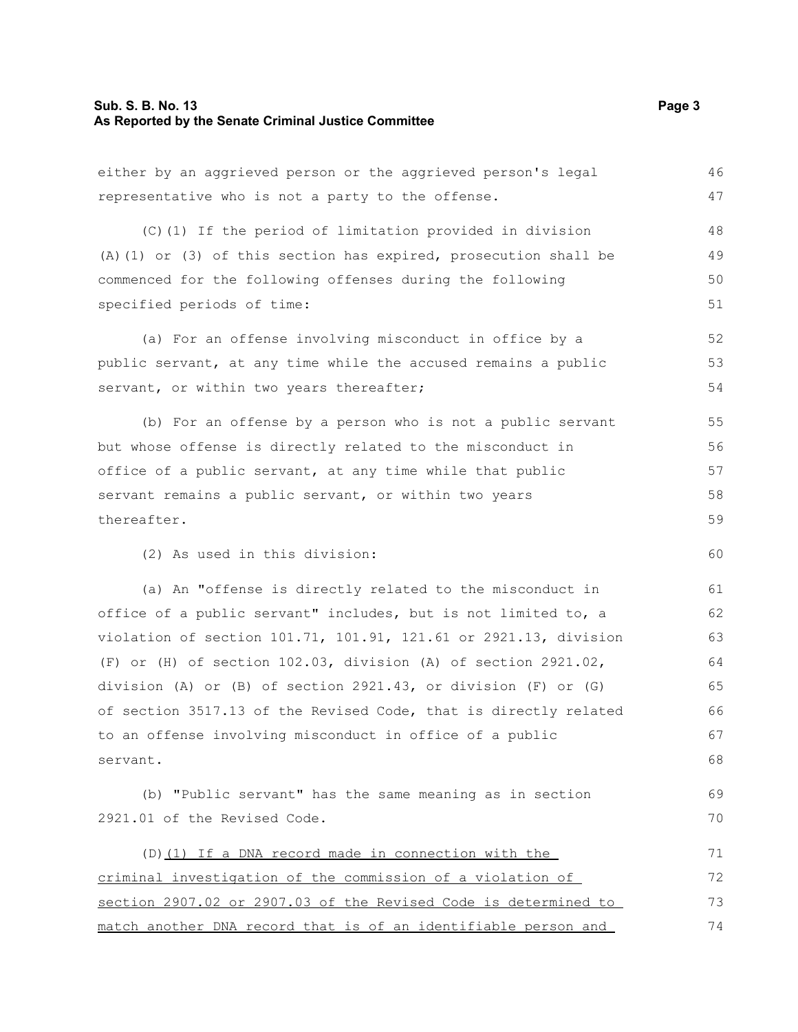#### **Sub. S. B. No. 13 Page 3 As Reported by the Senate Criminal Justice Committee**

either by an aggrieved person or the aggrieved person's legal representative who is not a party to the offense. (C)(1) If the period of limitation provided in division (A)(1) or (3) of this section has expired, prosecution shall be commenced for the following offenses during the following specified periods of time: (a) For an offense involving misconduct in office by a public servant, at any time while the accused remains a public servant, or within two years thereafter; (b) For an offense by a person who is not a public servant but whose offense is directly related to the misconduct in office of a public servant, at any time while that public servant remains a public servant, or within two years thereafter. (2) As used in this division: (a) An "offense is directly related to the misconduct in office of a public servant" includes, but is not limited to, a violation of section 101.71, 101.91, 121.61 or 2921.13, division (F) or (H) of section 102.03, division (A) of section 2921.02, division (A) or (B) of section 2921.43, or division (F) or (G) of section 3517.13 of the Revised Code, that is directly related to an offense involving misconduct in office of a public servant. (b) "Public servant" has the same meaning as in section 2921.01 of the Revised Code. 46 47 48 49 50 51 52 53 54 55 56 57 58 59 60 61 62 63 64 65 66 67 68 69 70

(D)(1) If a DNA record made in connection with the criminal investigation of the commission of a violation of section 2907.02 or 2907.03 of the Revised Code is determined to match another DNA record that is of an identifiable person and 71 72 73 74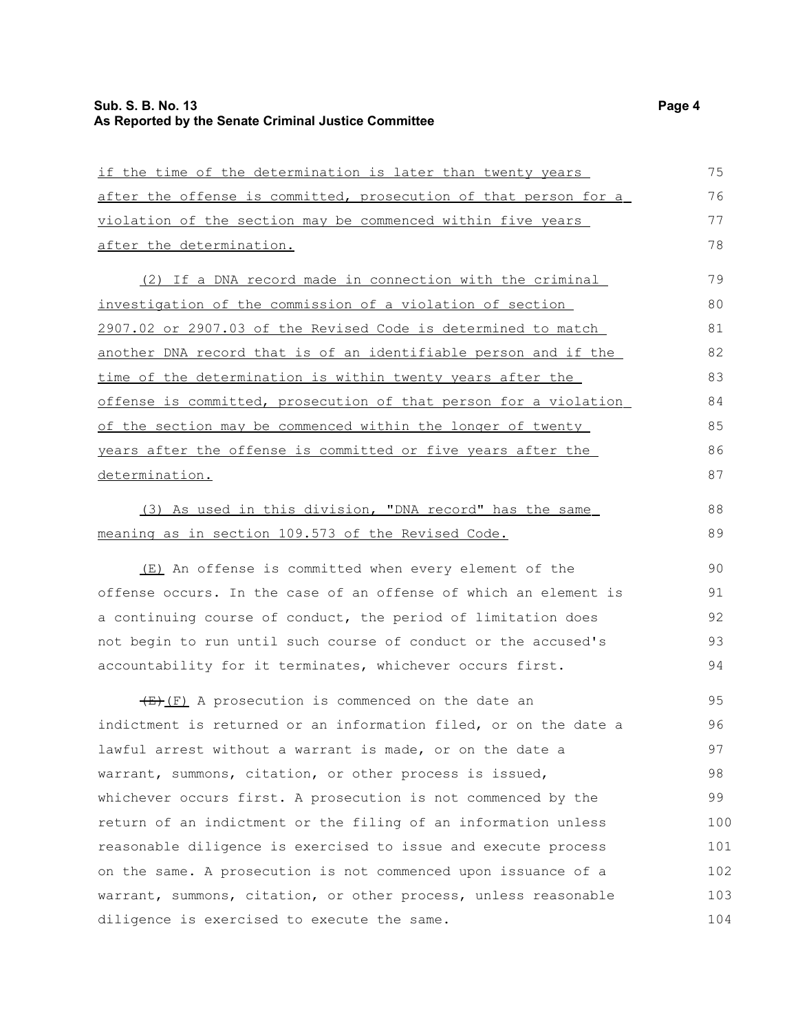### **Sub. S. B. No. 13 Page 4 As Reported by the Senate Criminal Justice Committee**

| if the time of the determination is later than twenty years      | 75  |
|------------------------------------------------------------------|-----|
| after the offense is committed, prosecution of that person for a | 76  |
| violation of the section may be commenced within five years      | 77  |
| after the determination.                                         | 78  |
| (2) If a DNA record made in connection with the criminal         | 79  |
| investigation of the commission of a violation of section        | 80  |
| 2907.02 or 2907.03 of the Revised Code is determined to match    | 81  |
| another DNA record that is of an identifiable person and if the  | 82  |
| time of the determination is within twenty years after the       | 83  |
| offense is committed, prosecution of that person for a violation | 84  |
| of the section may be commenced within the longer of twenty      | 85  |
| years after the offense is committed or five years after the     | 86  |
| determination.                                                   | 87  |
| (3) As used in this division, "DNA record" has the same          | 88  |
| meaning as in section 109.573 of the Revised Code.               | 89  |
| (E) An offense is committed when every element of the            | 90  |
| offense occurs. In the case of an offense of which an element is | 91  |
| a continuing course of conduct, the period of limitation does    | 92  |
| not begin to run until such course of conduct or the accused's   | 93  |
| accountability for it terminates, whichever occurs first.        | 94  |
| $\overline{E}$ (F) A prosecution is commenced on the date an     | 95  |
| indictment is returned or an information filed, or on the date a | 96  |
| lawful arrest without a warrant is made, or on the date a        | 97  |
| warrant, summons, citation, or other process is issued,          | 98  |
| whichever occurs first. A prosecution is not commenced by the    | 99  |
| return of an indictment or the filing of an information unless   | 100 |
| reasonable diligence is exercised to issue and execute process   | 101 |
| on the same. A prosecution is not commenced upon issuance of a   | 102 |
| warrant, summons, citation, or other process, unless reasonable  | 103 |
| diligence is exercised to execute the same.                      | 104 |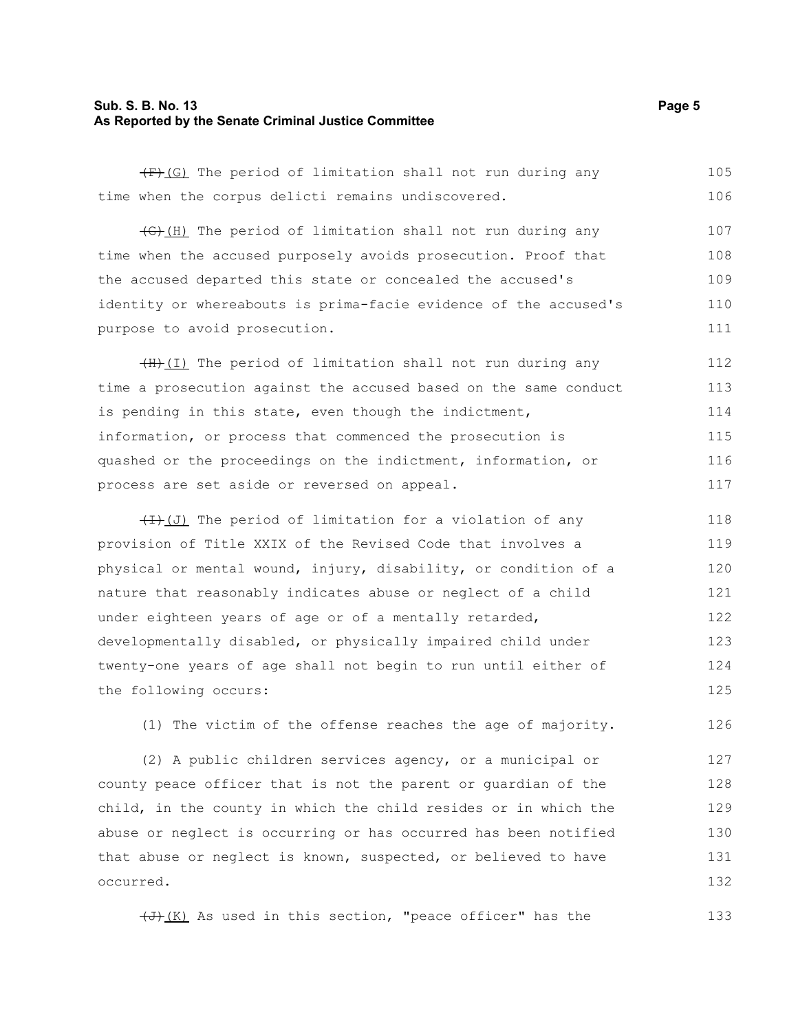#### **Sub. S. B. No. 13 Page 5 As Reported by the Senate Criminal Justice Committee**

 $(F)$  (G) The period of limitation shall not run during any time when the corpus delicti remains undiscovered.  $\left( \bigoplus \n\begin{array}{c} H \end{array} \right)$  The period of limitation shall not run during any time when the accused purposely avoids prosecution. Proof that the accused departed this state or concealed the accused's identity or whereabouts is prima-facie evidence of the accused's purpose to avoid prosecution.  $(H)$ (I) The period of limitation shall not run during any time a prosecution against the accused based on the same conduct 105 106 107 108 109 110 111 112 113

is pending in this state, even though the indictment, information, or process that commenced the prosecution is quashed or the proceedings on the indictment, information, or process are set aside or reversed on appeal. 114 115 116 117

 $(H+(J))$  The period of limitation for a violation of any provision of Title XXIX of the Revised Code that involves a physical or mental wound, injury, disability, or condition of a nature that reasonably indicates abuse or neglect of a child under eighteen years of age or of a mentally retarded, developmentally disabled, or physically impaired child under twenty-one years of age shall not begin to run until either of the following occurs: 118 119 120 121 122 123 124 125

(1) The victim of the offense reaches the age of majority. 126

(2) A public children services agency, or a municipal or county peace officer that is not the parent or guardian of the child, in the county in which the child resides or in which the abuse or neglect is occurring or has occurred has been notified that abuse or neglect is known, suspected, or believed to have occurred. 127 128 129 130 131 132

 $\overline{(d)}$  (K) As used in this section, "peace officer" has the

133